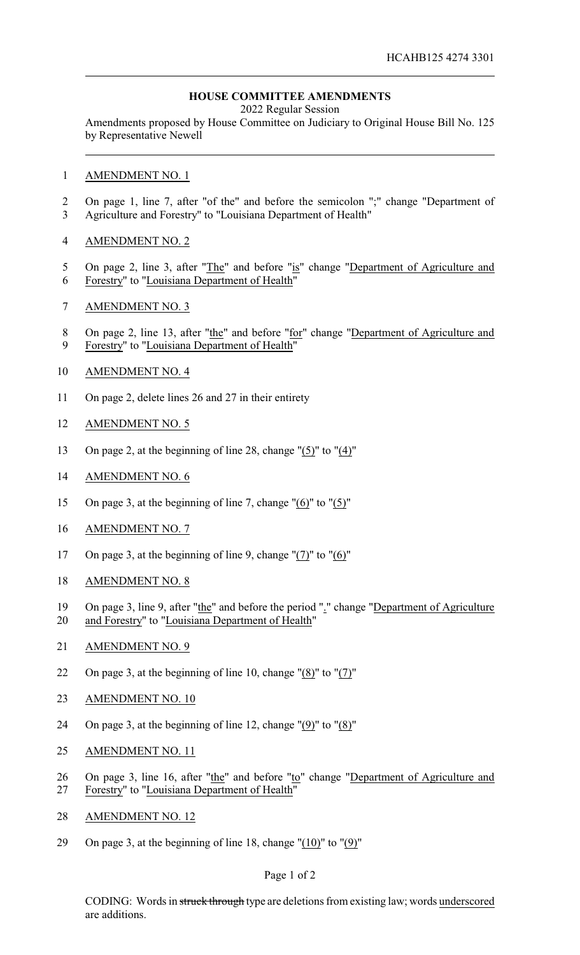## **HOUSE COMMITTEE AMENDMENTS**

2022 Regular Session

Amendments proposed by House Committee on Judiciary to Original House Bill No. 125 by Representative Newell

- AMENDMENT NO. 1
- On page 1, line 7, after "of the" and before the semicolon ";" change "Department of Agriculture and Forestry" to "Louisiana Department of Health"
- AMENDMENT NO. 2
- 5 On page 2, line 3, after "The" and before "is" change "Department of Agriculture and
- Forestry" to "Louisiana Department of Health"
- AMENDMENT NO. 3
- 8 On page 2, line 13, after "the" and before "for" change "Department of Agriculture and
- Forestry" to "Louisiana Department of Health"
- AMENDMENT NO. 4
- On page 2, delete lines 26 and 27 in their entirety
- AMENDMENT NO. 5
- On page 2, at the beginning of line 28, change "(5)" to "(4)"
- AMENDMENT NO. 6
- On page 3, at the beginning of line 7, change "(6)" to "(5)"
- AMENDMENT NO. 7
- On page 3, at the beginning of line 9, change "(7)" to "(6)"
- AMENDMENT NO. 8
- On page 3, line 9, after "the" and before the period "." change "Department of Agriculture
- and Forestry" to "Louisiana Department of Health"
- AMENDMENT NO. 9
- On page 3, at the beginning of line 10, change "(8)" to "(7)"
- AMENDMENT NO. 10
- 24 On page 3, at the beginning of line 12, change " $(9)$ " to " $(8)$ "
- AMENDMENT NO. 11
- 26 On page 3, line 16, after "the" and before "to" change "Department of Agriculture and Forestry" to "Louisiana Department of Health"
- AMENDMENT NO. 12
- On page 3, at the beginning of line 18, change "(10)" to "(9)"

## Page 1 of 2

CODING: Words in struck through type are deletions from existing law; words underscored are additions.